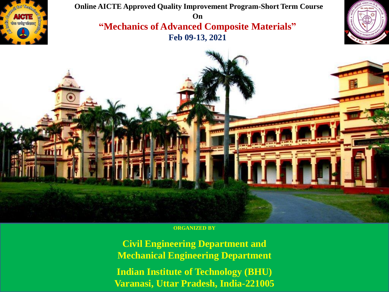

**Online AICTE Approved Quality Improvement Program-Short Term Course On "Mechanics of Advanced Composite Materials" Feb 09-13, 2021** 





**ORGANIZED BY** 

**Civil Engineering Department and Mechanical Engineering Department Indian Institute of Technology (BHU) Varanasi, Uttar Pradesh, India-221005**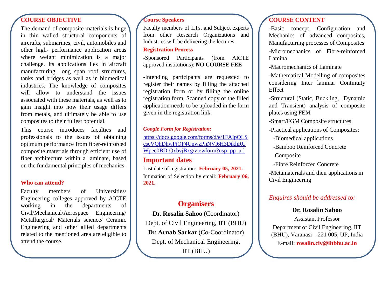## **COURSE OBJECTIVE**

The demand of composite materials is huge in thin walled structural components of aircrafts, submarines, civil, automobiles and other high- performance application areas where weight minimization is a major challenge. Its applications lies in aircraft manufacturing, long span roof structures, tanks and bridges as well as in biomedical industries. The knowledge of composites will allow to understand the issues associated with these materials, as well as to gain insight into how their usage differs from metals, and ultimately be able to use composites to their fullest potential.

This course introduces faculties and professionals to the issues of obtaining optimum performance from fiber-reinforced composite materials through efficient use of fiber architecture within a laminate, based on the fundamental principles of mechanics.

### **Who can attend?**

Faculty members of Universities/ Engineering colleges approved by AICTE working in the departments of Civil/Mechanical/Aerospace Engineering/ Metallurgical/ Materials science/ Ceramic Engineering and other allied departments related to the mentioned area are eligible to attend the course.

### **Course Speakers**

Faculty members of IITs, and Subject experts from other Research Organizations and Industries will be delivering the lectures.

## **Registration Process**

-Sponsored Participants (from AICTE approved institutions): **NO COURSE FEE**

-Intending participants are requested to register their names by filling the attached registration form or by filling the online registration form. Scanned copy of the filled application needs to be uploaded in the form given in the registration link.

#### *Google Form for Registration:*

https://docs.google.com/forms/d/e/1FAIpQLS [cscVQhDhwPjOF4UnwzPnNVl6H3DikhRU](https://docs.google.com/forms/d/e/1FAIpQLScscVQhDhwPjOF4UnwzPnNVl6H3DikhRUWpec0BDrQxbvjBxg/viewform?usp=pp_url) Wpec0BDrQxbvjBxg/viewform?usp=pp\_url

## **Important dates**

Last date of registration: **February 05, 2021.** Intimation of Selection by email: **February 06, 2021.**

# **Organisers**

**Dr. Rosalin Sahoo** (Coordinator) Dept. of Civil Engineering, IIT (BHU) **Dr. Arnab Sarkar** (Co-Coordinator) Dept. of Mechanical Engineering, IIT (BHU)

## **COURSE CONTENT**

**-**Basic concept, Configuration and Mechanics of advanced composites, Manufacturing processes of Composites **-**Micromechanics of Fibre-reinforced Lamina

**-**Macromechanics of Laminate

-Mathematical Modelling of composites considering Inter laminar Continuity Effect

**-**Structural (Static, Buckling, Dynamic and Transient) analysis of composite plates using FEM

**-**Smart/FGM Composite structures

**-**Practical applications of Composites:

-Biomedical applications

-Bamboo Reinforced Concrete

Composite

-Fibre Reinforced Concrete

**-**Metamaterials and their applications in Civil Engineering

## *Enquires should be addressed to:*

## **Dr. Rosalin Sahoo**

Assistant Professor Department of Civil Engineering, IIT (BHU), Varanasi – 221 005, UP, India E-mail: **rosalin.civ@iitbhu.ac.in**